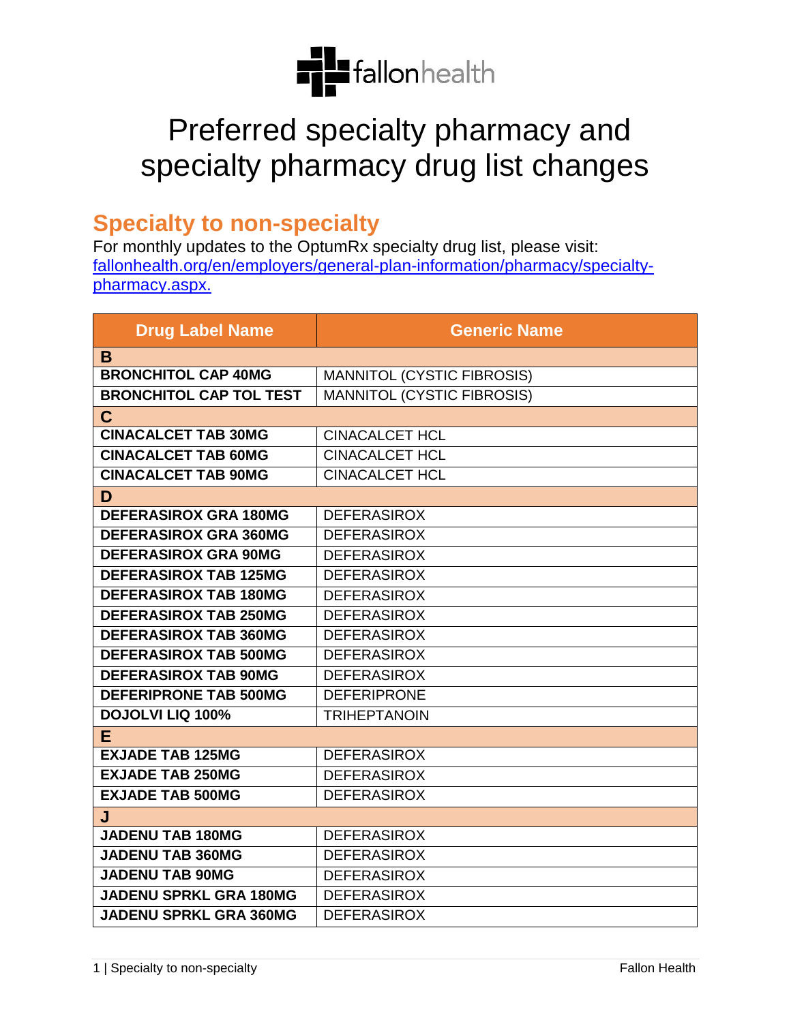

## Preferred specialty pharmacy and specialty pharmacy drug list changes

## **Specialty to non-specialty**

For monthly updates to the OptumRx specialty drug list, please visit: [fallonhealth.org/en/employers/general-plan-information/pharmacy/specialty](https://www.fchp.org/en/employers/general-plan-information/pharmacy/specialty-pharmacy.aspx)[pharmacy.aspx.](https://www.fchp.org/en/employers/general-plan-information/pharmacy/specialty-pharmacy.aspx)

| <b>Drug Label Name</b>         | <b>Generic Name</b>               |
|--------------------------------|-----------------------------------|
| B                              |                                   |
| <b>BRONCHITOL CAP 40MG</b>     | MANNITOL (CYSTIC FIBROSIS)        |
| <b>BRONCHITOL CAP TOL TEST</b> | <b>MANNITOL (CYSTIC FIBROSIS)</b> |
| $\mathbf C$                    |                                   |
| <b>CINACALCET TAB 30MG</b>     | <b>CINACALCET HCL</b>             |
| <b>CINACALCET TAB 60MG</b>     | <b>CINACALCET HCL</b>             |
| <b>CINACALCET TAB 90MG</b>     | <b>CINACALCET HCL</b>             |
| D                              |                                   |
| <b>DEFERASIROX GRA 180MG</b>   | <b>DEFERASIROX</b>                |
| <b>DEFERASIROX GRA 360MG</b>   | <b>DEFERASIROX</b>                |
| <b>DEFERASIROX GRA 90MG</b>    | <b>DEFERASIROX</b>                |
| <b>DEFERASIROX TAB 125MG</b>   | <b>DEFERASIROX</b>                |
| <b>DEFERASIROX TAB 180MG</b>   | <b>DEFERASIROX</b>                |
| <b>DEFERASIROX TAB 250MG</b>   | <b>DEFERASIROX</b>                |
| <b>DEFERASIROX TAB 360MG</b>   | <b>DEFERASIROX</b>                |
| <b>DEFERASIROX TAB 500MG</b>   | <b>DEFERASIROX</b>                |
| <b>DEFERASIROX TAB 90MG</b>    | <b>DEFERASIROX</b>                |
| <b>DEFERIPRONE TAB 500MG</b>   | <b>DEFERIPRONE</b>                |
| <b>DOJOLVI LIQ 100%</b>        | <b>TRIHEPTANOIN</b>               |
| E.                             |                                   |
| <b>EXJADE TAB 125MG</b>        | <b>DEFERASIROX</b>                |
| <b>EXJADE TAB 250MG</b>        | <b>DEFERASIROX</b>                |
| <b>EXJADE TAB 500MG</b>        | <b>DEFERASIROX</b>                |
| J                              |                                   |
| <b>JADENU TAB 180MG</b>        | <b>DEFERASIROX</b>                |
| <b>JADENU TAB 360MG</b>        | <b>DEFERASIROX</b>                |
| <b>JADENU TAB 90MG</b>         | <b>DEFERASIROX</b>                |
| <b>JADENU SPRKL GRA 180MG</b>  | <b>DEFERASIROX</b>                |
| <b>JADENU SPRKL GRA 360MG</b>  | <b>DEFERASIROX</b>                |